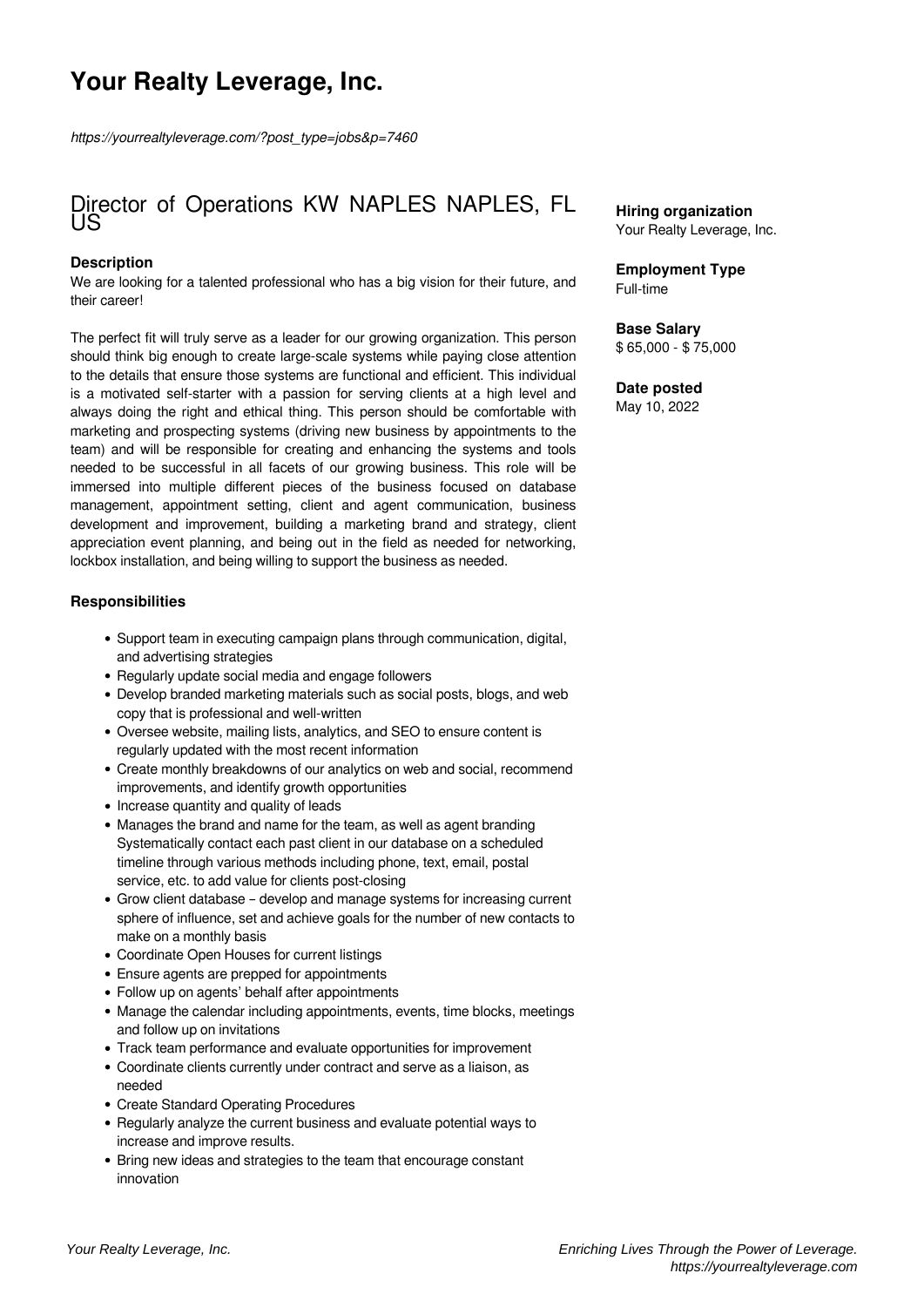# **Your Realty Leverage, Inc.**

*https://yourrealtyleverage.com/?post\_type=jobs&p=7460*

### Director of Operations KW NAPLES NAPLES, FL US

#### **Description**

We are looking for a talented professional who has a big vision for their future, and their career!

The perfect fit will truly serve as a leader for our growing organization. This person should think big enough to create large-scale systems while paying close attention to the details that ensure those systems are functional and efficient. This individual is a motivated self-starter with a passion for serving clients at a high level and always doing the right and ethical thing. This person should be comfortable with marketing and prospecting systems (driving new business by appointments to the team) and will be responsible for creating and enhancing the systems and tools needed to be successful in all facets of our growing business. This role will be immersed into multiple different pieces of the business focused on database management, appointment setting, client and agent communication, business development and improvement, building a marketing brand and strategy, client appreciation event planning, and being out in the field as needed for networking, lockbox installation, and being willing to support the business as needed.

#### **Responsibilities**

- Support team in executing campaign plans through communication, digital, and advertising strategies
- Regularly update social media and engage followers
- Develop branded marketing materials such as social posts, blogs, and web copy that is professional and well-written
- Oversee website, mailing lists, analytics, and SEO to ensure content is regularly updated with the most recent information
- Create monthly breakdowns of our analytics on web and social, recommend improvements, and identify growth opportunities
- Increase quantity and quality of leads
- Manages the brand and name for the team, as well as agent branding Systematically contact each past client in our database on a scheduled timeline through various methods including phone, text, email, postal service, etc. to add value for clients post-closing
- Grow client database develop and manage systems for increasing current sphere of influence, set and achieve goals for the number of new contacts to make on a monthly basis
- Coordinate Open Houses for current listings
- Ensure agents are prepped for appointments
- Follow up on agents' behalf after appointments
- Manage the calendar including appointments, events, time blocks, meetings and follow up on invitations
- Track team performance and evaluate opportunities for improvement
- Coordinate clients currently under contract and serve as a liaison, as needed
- Create Standard Operating Procedures
- Regularly analyze the current business and evaluate potential ways to increase and improve results.
- Bring new ideas and strategies to the team that encourage constant innovation

#### **Hiring organization** Your Realty Leverage, Inc.

#### **Employment Type** Full-time

## **Base Salary**

\$ 65,000 - \$ 75,000

#### **Date posted**

May 10, 2022